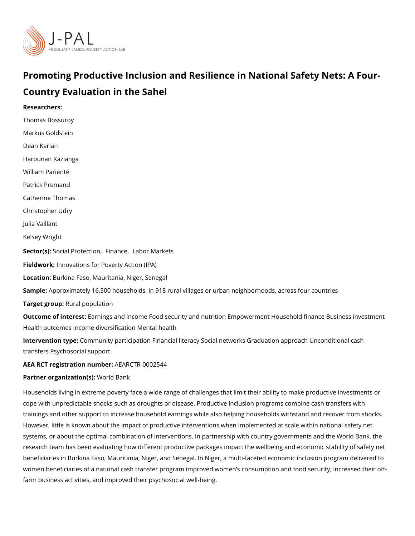# Promoting Productive Inclusion and Resilience in National S Country Evaluation in the Sahel

Researchers: [Thomas Bos](https://www.povertyactionlab.org/person/bossuroy)suroy Markus Goldstein [Dean Ka](https://www.povertyactionlab.org/person/karlan)rlan [Harounan Ka](https://www.povertyactionlab.org/person/kazianga)zianga [William Pa](https://www.povertyactionlab.org/person/pariente)rienté Patrick Premand Catherine Thomas [Christopher](https://www.povertyactionlab.org/person/udry) Udry Julia Vaillant Kelsey Wright Sector([Social Prot](https://www.povertyactionlab.org/sector/social-protection)eletin am[,](https://www.povertyactionlab.org/sector/finance) cleabor Markets Fieldworkhovations for Poverty Action (IPA) LocatioBurkina Faso, Mauritania, Niger, Senegal Sample: proximately 16,500 households, in 918 rural villages or urban neighborhoods, act Target gro**Rpral** population Outcome of inte Eastings and income Food security and nutrition Empowerment Household Health outcomes Income diversification Mental health Intervention  $t\mathcal{G}$  permunity participation Financial literacy Social networks Graduation appro transfers Psychosocial support AEA RCT registration ArEuAnRbCeTR-0002544 Partner organizatWoon(s) Bank

Households living in extreme poverty face a wide range of challenges that limit their abili cope with unpredictable shocks such as droughts or disease. Productive inclusion progran trainings and other support to increase household earnings while also helping households However, little is known about the impact of productive interventions when implemented a systems, or about the optimal combination of interventions. In partnership with country go research team has been evaluating how different productive packages impact the wellbein beneficiaries in Burkina Faso, Mauritania, Niger, and Senegal. In Niger, a multi-faceted e women beneficiaries of a national cash transfer program improved women s consumption a farm business activities, and improved their psychosocial well-being.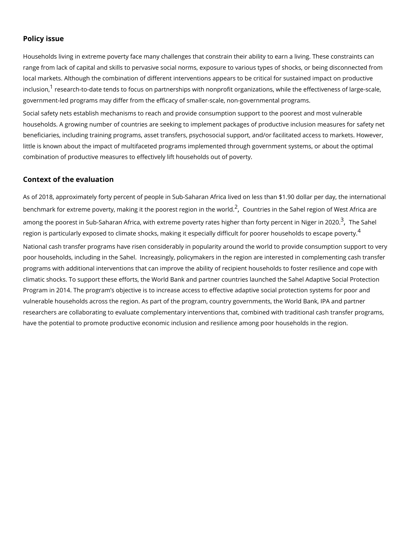### Policy issue

Households living in extreme poverty face many challenges that constrain their ability to range from lack of capital and skills to pervasive social norms, exposure to various types local markets. Although the combination of different interventions appears to be critical f inclusi<sup>[1](#page-4-0)</sup>onesearch-to-date tends to focus on partnerships with nonprofit organizations, whil government-led programs may differ from the efficacy of smaller-scale, non-governmental Social safety nets establish mechanisms to reach and provide consumption support to the households. A growing number of countries are seeking to implement packages of product beneficiaries, including training programs, asset transfers, psychosocial support, and/or little is known about the impact of multifaceted programs implemented through governmen combination of productive measures to effectively lift households out of poverty.

## Context of the evaluation

As of 2018, approximately forty percent of people in Sub-Saharan Africa lived on less tha benchmark for extreme poverty[,](#page-4-0) making it the poorest ournetgies in the Southed region of West  $\prime$ among the poorest in Sub-Saharan Africa[,](#page-4-0) with extreme poverty rates hig $\hat{\theta}$ ,eff hba $\delta$ afroenty pe region is particularly exposed to climate shocks, making it especially difficult for poorer National cash transfer programs have risen considerably in popularity around the world to poor households, including in the Sahel. Increasingly, policymakers in the region are int programs with additional interventions that can improve the ability of recipient household climatic shocks. To support these efforts, the World Bank and Saphaeth Aled agod under Seoscilaalu Proto beed c [Progr](https://www.worldbank.org/en/programs/sahel-adaptive-social-protection-program-trust-fund#:~:text=The Sahel Adaptive Social Protection Program (SASPP) was launched in,, Niger, and Senegal).)amm 2014. The program s objective is to increase access to effective adaptive social vulnerable households across the region. As part of the program, country governments, th researchers are collaborating to evaluate complementary interventions that, combined wit have the potential to promote productive economic inclusion and resilience among poor ho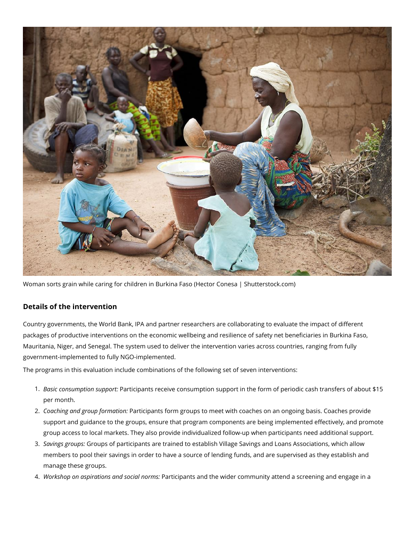

Woman sorts grain while caring for children in Burkina Faso (Hector Conesa | Shutterstock.com)

# **Details of the intervention**

Country governments, the World Bank, IPA and partner researchers are collaborating to evaluate the impact of different packages of productive interventions on the economic wellbeing and resilience of safety net beneficiaries in Burkina Faso, Mauritania, Niger, and Senegal. The system used to deliver the intervention varies across countries, ranging from fully government-implemented to fully NGO-implemented.

The programs in this evaluation include combinations of the following set of seven interventions:

- 1. *Basic consumption support:* Participants receive consumption support in the form of periodic cash transfers of about \$15 per month.
- 2. *Coaching and group formation:* Participants form groups to meet with coaches on an ongoing basis. Coaches provide support and guidance to the groups, ensure that program components are being implemented effectively, and promote group access to local markets. They also provide individualized follow-up when participants need additional support.
- 3. *Savings groups:* Groups of participants are trained to establish Village Savings and Loans Associations, which allow members to pool their savings in order to have a source of lending funds, and are supervised as they establish and manage these groups.
- 4. *Workshop on aspirations and social norms:* Participants and the wider community attend a screening and engage in a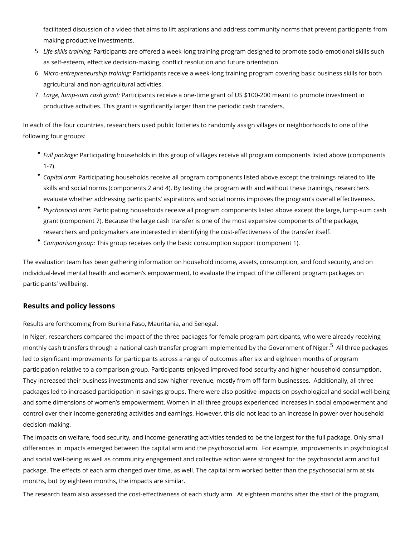facilitated discussion of a video that aims to lift aspirations and address community making productive investments.

- 5.Life-skills trPaaintingipants are offered a week-long training program designed to promot as self-esteem, effective decision-making, conflict resolution and future orientation.
- 6. Micro-entrepreneurshaprtia ip amgs receive a week-long training program covering basic agricultural and non-agricultural activities.
- 7. Large, lump-sum chash tiggripants receive a one-time grant of US \$100-200 meant to prom productive activities. This grant is significantly larger than the periodic cash transfe

In each of the four countries, researchers used public lotteries to randomly assign village following four groups:

- $\degree$  Full packPaagreticipating households in this group of villages receive all program compo  $1 - 7$ ).
- $\degree$  Capital aPmarticipating households receive all program components listed above excep skills and social norms (components 2 and 4). By testing the program with and without evaluate whether addressing participants aspirations and social norms improves the
- $^{\bullet}$  Psychosocia Paarntmicipating households receive all program components listed above ex grant (component 7). Because the large cash transfer is one of the most expensive  $c<sub>i</sub>$ researchers and policymakers are interested in identifying the cost-effectiveness of
- $\degree$  Comparison gTrhoiuspgroup receives only the basic consumption support (component 1).

The evaluation team has been gathering information on household income, assets, consum individual-level mental health and women s empowerment, to evaluate the impact of the d participants wellbeing.

#### Results and policy lessons

Results are forthcoming from Burkina Faso, Mauritania, and Senegal.

In Niger, researchers compared the impact of the three packages for female program parti monthly cash transfers through a national cash transfer program implemented bibovethped Grave led to significant improvements for participants across a range of outcomes after six and participation relative to a comparison group. Participants enjoyed improved food security They increased their business investments and saw higher revenue, mostly from off-farm I packages led to increased participation in savings groups. There were also positive impad and some dimensions of women s empowerment. Women in all three groups experienced in control over their income-generating activities and earnings. However, this did not lead to decision-making.

The impacts on welfare, food security, and income-generating activities tended to be the differences in impacts emerged between the capital arm and the psychosocial arm. For e: and social well-being as well as community engagement and collective action were strong package. The effects of each arm changed over time, as well. The capital arm worked bett months, but by eighteen months, the impacts are similar.

The research team also assessed the cost-effectiveness of each study arm. At eighteen r